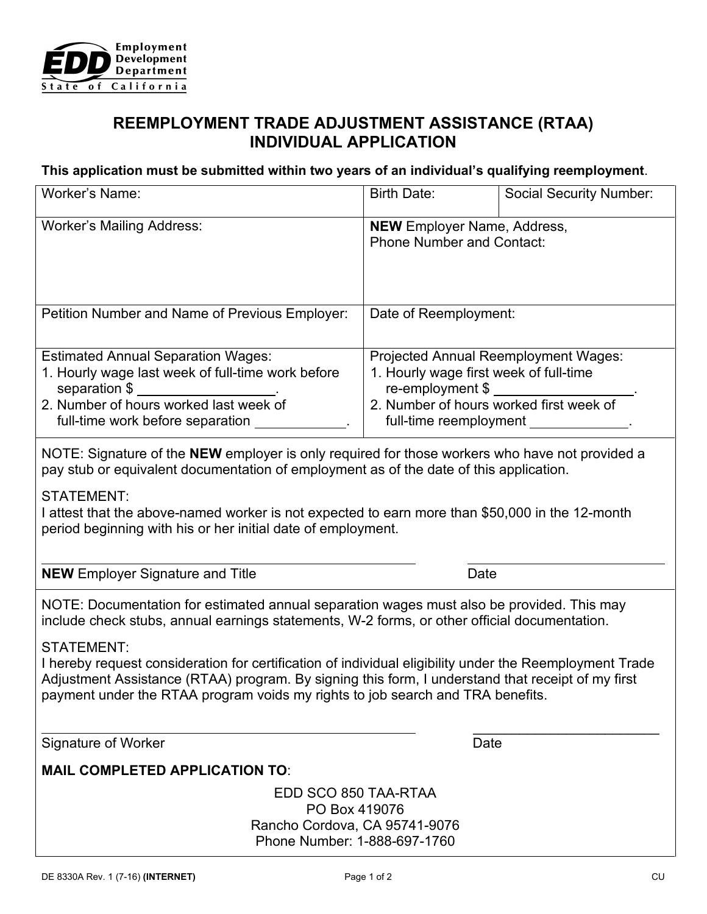

## **REEMPLOYMENT TRADE ADJUSTMENT ASSISTANCE (RTAA) INDIVIDUAL APPLICATION**

## **This application must be submitted within two years of an individual's qualifying reemployment**.

| Worker's Name:                                                                                                                                                                                                                                                                                                      | Birth Date:                                                                                                                                                    | <b>Social Security Number:</b> |
|---------------------------------------------------------------------------------------------------------------------------------------------------------------------------------------------------------------------------------------------------------------------------------------------------------------------|----------------------------------------------------------------------------------------------------------------------------------------------------------------|--------------------------------|
| <b>Worker's Mailing Address:</b>                                                                                                                                                                                                                                                                                    | <b>NEW</b> Employer Name, Address,<br><b>Phone Number and Contact:</b>                                                                                         |                                |
| Petition Number and Name of Previous Employer:                                                                                                                                                                                                                                                                      | Date of Reemployment:                                                                                                                                          |                                |
| <b>Estimated Annual Separation Wages:</b><br>1. Hourly wage last week of full-time work before<br>separation \$<br>2. Number of hours worked last week of<br>full-time work before separation                                                                                                                       | Projected Annual Reemployment Wages:<br>1. Hourly wage first week of full-time<br>$re$ -employment \$ $\frac{1}{2}$<br>2. Number of hours worked first week of |                                |
| NOTE: Signature of the NEW employer is only required for those workers who have not provided a<br>pay stub or equivalent documentation of employment as of the date of this application.                                                                                                                            |                                                                                                                                                                |                                |
| <b>STATEMENT:</b><br>I attest that the above-named worker is not expected to earn more than \$50,000 in the 12-month<br>period beginning with his or her initial date of employment.                                                                                                                                |                                                                                                                                                                |                                |
| <b>NEW</b> Employer Signature and Title                                                                                                                                                                                                                                                                             | Date                                                                                                                                                           |                                |
| NOTE: Documentation for estimated annual separation wages must also be provided. This may<br>include check stubs, annual earnings statements, W-2 forms, or other official documentation.                                                                                                                           |                                                                                                                                                                |                                |
| <b>STATEMENT:</b><br>I hereby request consideration for certification of individual eligibility under the Reemployment Trade<br>Adjustment Assistance (RTAA) program. By signing this form, I understand that receipt of my first<br>payment under the RTAA program voids my rights to job search and TRA benefits. |                                                                                                                                                                |                                |
| Signature of Worker                                                                                                                                                                                                                                                                                                 | Date                                                                                                                                                           |                                |
| <b>MAIL COMPLETED APPLICATION TO:</b>                                                                                                                                                                                                                                                                               |                                                                                                                                                                |                                |
| EDD SCO 850 TAA-RTAA<br>PO Box 419076<br>Rancho Cordova, CA 95741-9076<br>Phone Number: 1-888-697-1760                                                                                                                                                                                                              |                                                                                                                                                                |                                |